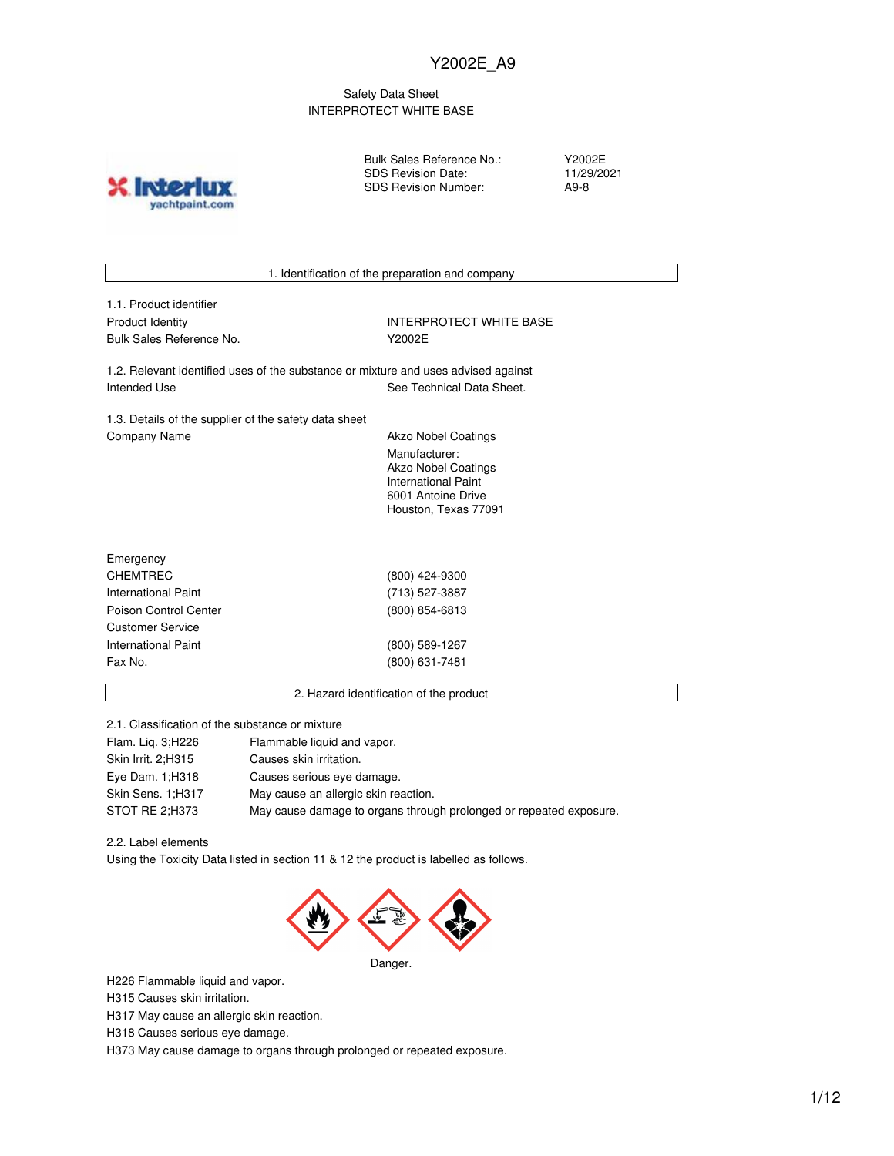### Safety Data Sheet INTERPROTECT WHITE BASE

**X** Inter yachtpaint.com Bulk Sales Reference No.: SDS Revision Date: SDS Revision Number:

Y2002E 11/29/2021 A9-8

| 1. Identification of the preparation and company                                   |                                             |  |  |  |
|------------------------------------------------------------------------------------|---------------------------------------------|--|--|--|
| 1.1. Product identifier                                                            |                                             |  |  |  |
| <b>Product Identity</b>                                                            | <b>INTERPROTECT WHITE BASE</b>              |  |  |  |
| Bulk Sales Reference No.                                                           | Y2002E                                      |  |  |  |
|                                                                                    |                                             |  |  |  |
| 1.2. Relevant identified uses of the substance or mixture and uses advised against |                                             |  |  |  |
| Intended Use                                                                       | See Technical Data Sheet.                   |  |  |  |
|                                                                                    |                                             |  |  |  |
| 1.3. Details of the supplier of the safety data sheet                              |                                             |  |  |  |
| Company Name                                                                       | <b>Akzo Nobel Coatings</b>                  |  |  |  |
|                                                                                    | Manufacturer:<br><b>Akzo Nobel Coatings</b> |  |  |  |
|                                                                                    | International Paint                         |  |  |  |
|                                                                                    | 6001 Antoine Drive                          |  |  |  |
|                                                                                    | Houston, Texas 77091                        |  |  |  |
|                                                                                    |                                             |  |  |  |
| Emergency                                                                          |                                             |  |  |  |
| <b>CHEMTREC</b>                                                                    | (800) 424-9300                              |  |  |  |
| International Paint                                                                | (713) 527-3887                              |  |  |  |
| Poison Control Center                                                              | (800) 854-6813                              |  |  |  |
| <b>Customer Service</b>                                                            |                                             |  |  |  |
| International Paint                                                                | (800) 589-1267                              |  |  |  |
| Fax No.                                                                            | (800) 631-7481                              |  |  |  |
|                                                                                    |                                             |  |  |  |
| 2. Hazard identification of the product                                            |                                             |  |  |  |

2.1. Classification of the substance or mixture

| Flam. Lig. 3; H226 | Flammable liquid and vapor.                                        |
|--------------------|--------------------------------------------------------------------|
| Skin Irrit, 2:H315 | Causes skin irritation.                                            |
| Eye Dam. 1; H318   | Causes serious eye damage.                                         |
| Skin Sens, 1:H317  | May cause an allergic skin reaction.                               |
| STOT RE 2:H373     | May cause damage to organs through prolonged or repeated exposure. |

2.2. Label elements

Using the Toxicity Data listed in section 11 & 12 the product is labelled as follows.



H226 Flammable liquid and vapor.

H315 Causes skin irritation.

H317 May cause an allergic skin reaction.

H318 Causes serious eye damage.

H373 May cause damage to organs through prolonged or repeated exposure.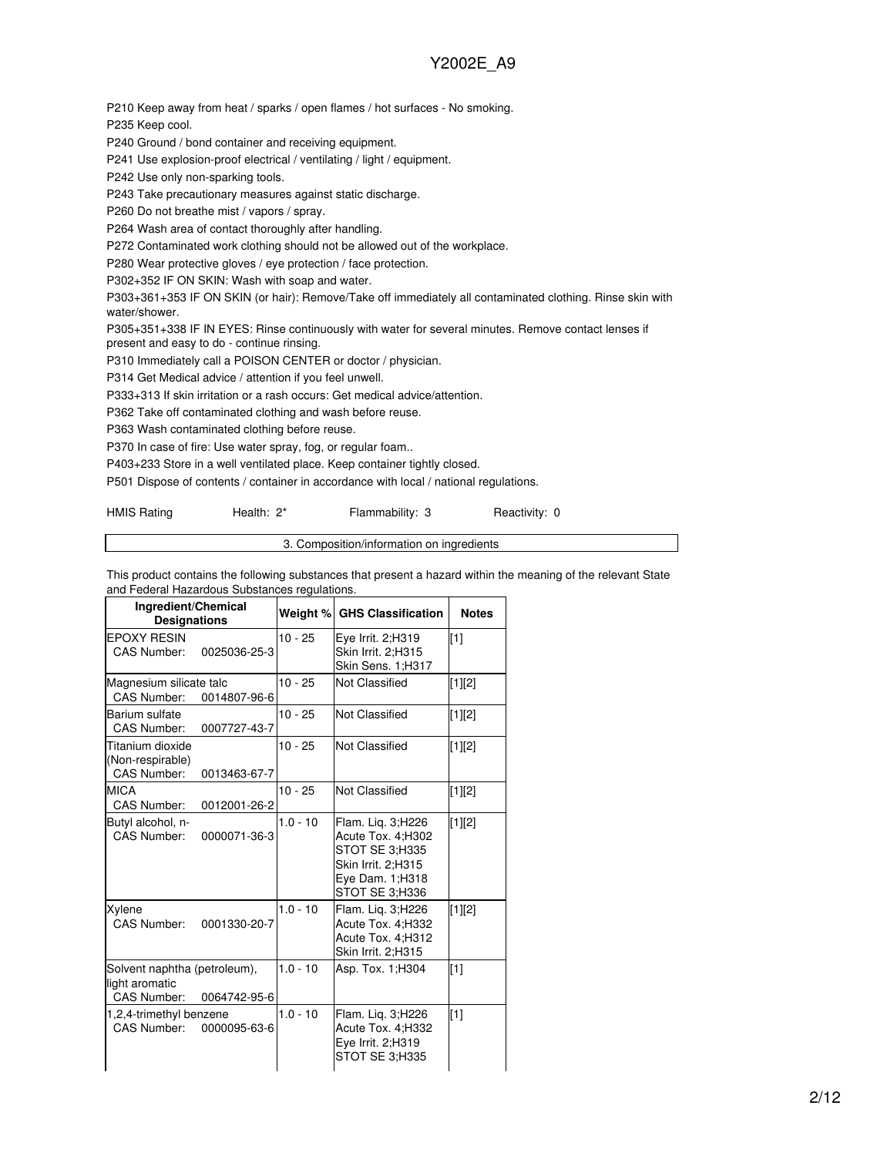P210 Keep away from heat / sparks / open flames / hot surfaces - No smoking.

P235 Keep cool.

P240 Ground / bond container and receiving equipment.

P241 Use explosion-proof electrical / ventilating / light / equipment.

P242 Use only non-sparking tools.

P243 Take precautionary measures against static discharge.

P260 Do not breathe mist / vapors / spray.

P264 Wash area of contact thoroughly after handling.

P272 Contaminated work clothing should not be allowed out of the workplace.

P280 Wear protective gloves / eye protection / face protection.

P302+352 IF ON SKIN: Wash with soap and water.

P303+361+353 IF ON SKIN (or hair): Remove/Take off immediately all contaminated clothing. Rinse skin with water/shower.

P305+351+338 IF IN EYES: Rinse continuously with water for several minutes. Remove contact lenses if present and easy to do - continue rinsing.

P310 Immediately call a POISON CENTER or doctor / physician.

P314 Get Medical advice / attention if you feel unwell.

P333+313 If skin irritation or a rash occurs: Get medical advice/attention.

P362 Take off contaminated clothing and wash before reuse.

P363 Wash contaminated clothing before reuse.

P370 In case of fire: Use water spray, fog, or regular foam..

P403+233 Store in a well ventilated place. Keep container tightly closed.

P501 Dispose of contents / container in accordance with local / national regulations.

| <b>HMIS Rating</b> | Health: 2* | Flammability: 3 | Reactivity: 0 |
|--------------------|------------|-----------------|---------------|
|--------------------|------------|-----------------|---------------|

3. Composition/information on ingredients

This product contains the following substances that present a hazard within the meaning of the relevant State and Federal Hazardous Substances regulations.

| Ingredient/Chemical<br><b>Designations</b>                    |              | Weight %   | <b>GHS Classification</b>                                                                                            | <b>Notes</b> |
|---------------------------------------------------------------|--------------|------------|----------------------------------------------------------------------------------------------------------------------|--------------|
| <b>EPOXY RESIN</b><br>CAS Number:                             | 0025036-25-3 | $10 - 25$  | Eye Irrit. 2;H319<br>Skin Irrit. 2:H315<br>Skin Sens. 1;H317                                                         | $\sqrt{11}$  |
| Magnesium silicate talc<br>CAS Number:                        | 0014807-96-6 | $10 - 25$  | <b>Not Classified</b>                                                                                                | [1][2]       |
| Barium sulfate<br><b>CAS Number:</b>                          | 0007727-43-7 | $10 - 25$  | Not Classified                                                                                                       | [1][2]       |
| Titanium dioxide<br>(Non-respirable)<br><b>CAS Number:</b>    | 0013463-67-7 | $10 - 25$  | Not Classified                                                                                                       | [1][2]       |
| <b>MICA</b><br><b>CAS Number:</b>                             | 0012001-26-2 | $10 - 25$  | Not Classified                                                                                                       | [1][2]       |
| Butyl alcohol, n-<br><b>CAS Number:</b>                       | 0000071-36-3 | $1.0 - 10$ | Flam. Lig. 3;H226<br>Acute Tox. 4:H302<br>STOT SE 3:H335<br>Skin Irrit. 2:H315<br>Eye Dam. 1: H318<br>STOT SE 3:H336 | [1][2]       |
| Xylene<br><b>CAS Number:</b>                                  | 0001330-20-7 | $1.0 - 10$ | Flam. Lig. 3;H226<br>Acute Tox. 4;H332<br>Acute Tox. 4;H312<br>Skin Irrit. 2;H315                                    | [1][2]       |
| Solvent naphtha (petroleum),<br>light aromatic<br>CAS Number: | 0064742-95-6 | $1.0 - 10$ | Asp. Tox. 1:H304                                                                                                     | $\sqrt{11}$  |
| 1,2,4-trimethyl benzene<br>CAS Number:                        | 0000095-63-6 | $1.0 - 10$ | Flam. Lig. 3;H226<br>Acute Tox. 4;H332<br>Eye Irrit. 2;H319<br>STOT SE 3:H335                                        | $\sqrt{11}$  |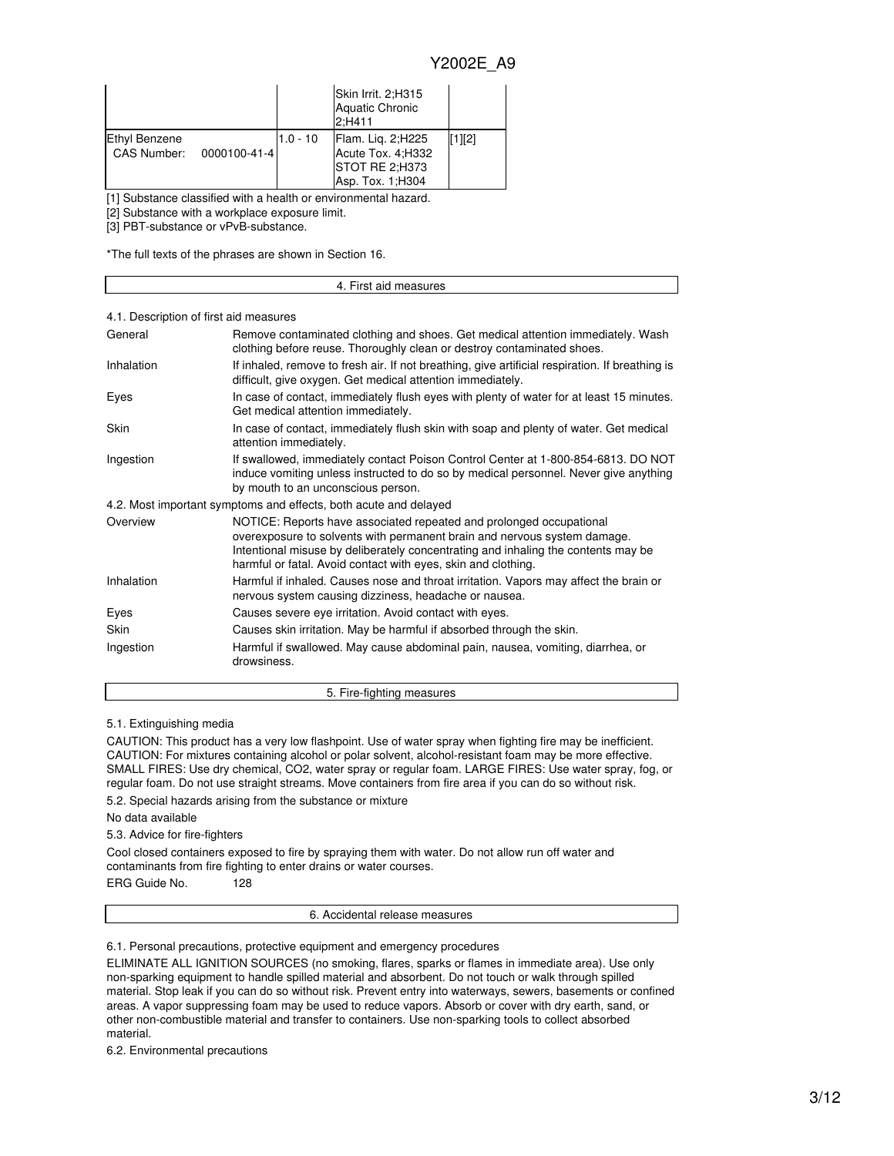|                                              |            | Skin Irrit. 2:H315<br><b>Aquatic Chronic</b><br>2:H411                         |        |
|----------------------------------------------|------------|--------------------------------------------------------------------------------|--------|
| Ethyl Benzene<br>CAS Number:<br>0000100-41-4 | $1.0 - 10$ | Flam. Lig. 2;H225<br>Acute Tox. 4; H332<br>STOT RE 2:H373<br>Asp. Tox. 1; H304 | [1][2] |

[1] Substance classified with a health or environmental hazard.

[2] Substance with a workplace exposure limit.

[3] PBT-substance or vPvB-substance.

\*The full texts of the phrases are shown in Section 16.

|                                        | 4. First aid measures                                                                                                                                                                                                                                                                                 |  |  |  |
|----------------------------------------|-------------------------------------------------------------------------------------------------------------------------------------------------------------------------------------------------------------------------------------------------------------------------------------------------------|--|--|--|
|                                        |                                                                                                                                                                                                                                                                                                       |  |  |  |
| 4.1. Description of first aid measures |                                                                                                                                                                                                                                                                                                       |  |  |  |
| General                                | Remove contaminated clothing and shoes. Get medical attention immediately. Wash<br>clothing before reuse. Thoroughly clean or destroy contaminated shoes.                                                                                                                                             |  |  |  |
| Inhalation                             | If inhaled, remove to fresh air. If not breathing, give artificial respiration. If breathing is<br>difficult, give oxygen. Get medical attention immediately.                                                                                                                                         |  |  |  |
| Eyes                                   | In case of contact, immediately flush eyes with plenty of water for at least 15 minutes.<br>Get medical attention immediately.                                                                                                                                                                        |  |  |  |
| Skin                                   | In case of contact, immediately flush skin with soap and plenty of water. Get medical<br>attention immediately.                                                                                                                                                                                       |  |  |  |
| Ingestion                              | If swallowed, immediately contact Poison Control Center at 1-800-854-6813. DO NOT<br>induce vomiting unless instructed to do so by medical personnel. Never give anything<br>by mouth to an unconscious person.                                                                                       |  |  |  |
|                                        | 4.2. Most important symptoms and effects, both acute and delayed                                                                                                                                                                                                                                      |  |  |  |
| Overview                               | NOTICE: Reports have associated repeated and prolonged occupational<br>overexposure to solvents with permanent brain and nervous system damage.<br>Intentional misuse by deliberately concentrating and inhaling the contents may be<br>harmful or fatal. Avoid contact with eyes, skin and clothing. |  |  |  |
| Inhalation                             | Harmful if inhaled. Causes nose and throat irritation. Vapors may affect the brain or                                                                                                                                                                                                                 |  |  |  |

|             | nervous system causing dizziness, headache or nausea.                                         |
|-------------|-----------------------------------------------------------------------------------------------|
| Eyes        | Causes severe eye irritation. Avoid contact with eyes.                                        |
| <b>Skin</b> | Causes skin irritation. May be harmful if absorbed through the skin.                          |
| Ingestion   | Harmful if swallowed. May cause abdominal pain, nausea, vomiting, diarrhea, or<br>drowsiness. |

5.1. Extinguishing media

CAUTION: This product has a very low flashpoint. Use of water spray when fighting fire may be inefficient. CAUTION: For mixtures containing alcohol or polar solvent, alcohol-resistant foam may be more effective. SMALL FIRES: Use dry chemical, CO2, water spray or regular foam. LARGE FIRES: Use water spray, fog, or regular foam. Do not use straight streams. Move containers from fire area if you can do so without risk.

5. Fire-fighting measures

5.2. Special hazards arising from the substance or mixture

No data available

5.3. Advice for fire-fighters

Cool closed containers exposed to fire by spraying them with water. Do not allow run off water and contaminants from fire fighting to enter drains or water courses.

ERG Guide No. 128

6. Accidental release measures

6.1. Personal precautions, protective equipment and emergency procedures

ELIMINATE ALL IGNITION SOURCES (no smoking, flares, sparks or flames in immediate area). Use only non-sparking equipment to handle spilled material and absorbent. Do not touch or walk through spilled material. Stop leak if you can do so without risk. Prevent entry into waterways, sewers, basements or confined areas. A vapor suppressing foam may be used to reduce vapors. Absorb or cover with dry earth, sand, or other non-combustible material and transfer to containers. Use non-sparking tools to collect absorbed material.

6.2. Environmental precautions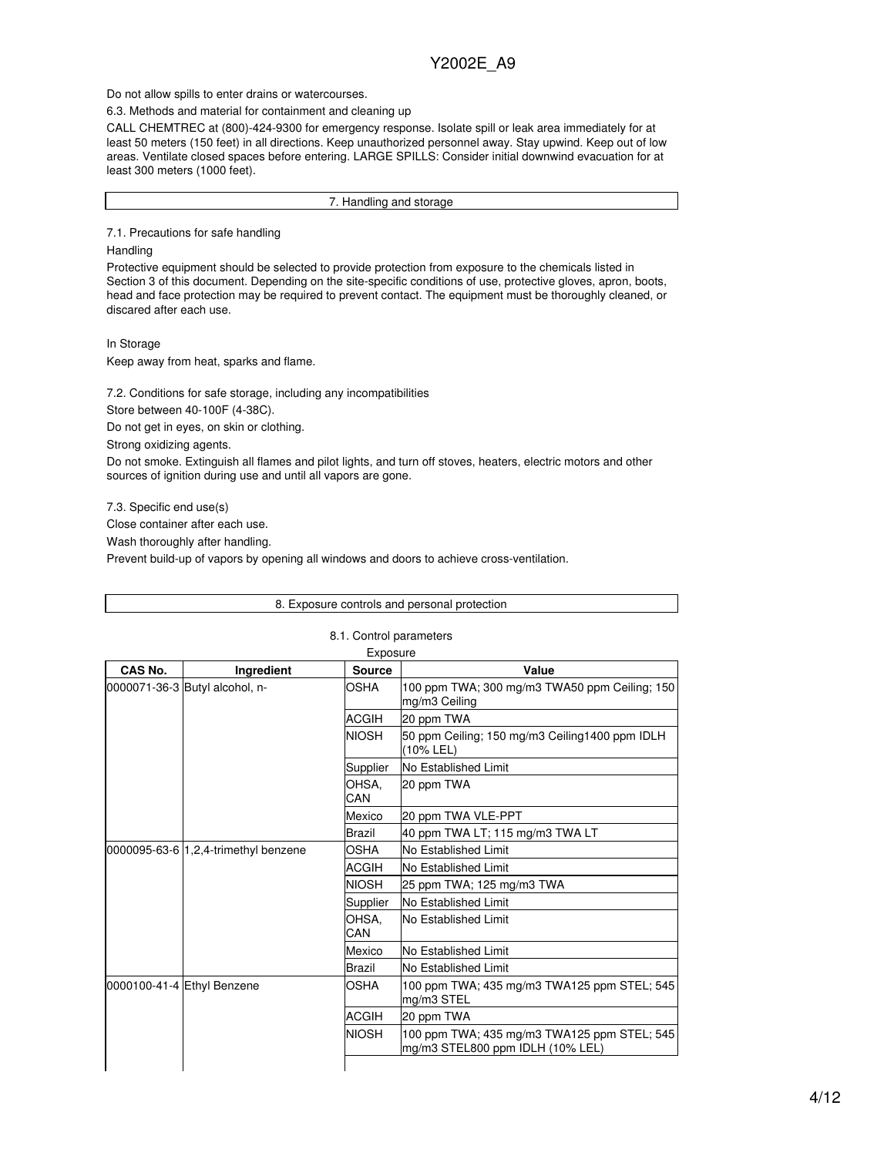Do not allow spills to enter drains or watercourses.

6.3. Methods and material for containment and cleaning up

CALL CHEMTREC at (800)-424-9300 for emergency response. Isolate spill or leak area immediately for at least 50 meters (150 feet) in all directions. Keep unauthorized personnel away. Stay upwind. Keep out of low areas. Ventilate closed spaces before entering. LARGE SPILLS: Consider initial downwind evacuation for at least 300 meters (1000 feet).

7. Handling and storage

7.1. Precautions for safe handling

#### Handling

Protective equipment should be selected to provide protection from exposure to the chemicals listed in Section 3 of this document. Depending on the site-specific conditions of use, protective gloves, apron, boots, head and face protection may be required to prevent contact. The equipment must be thoroughly cleaned, or discared after each use.

#### In Storage

Keep away from heat, sparks and flame.

7.2. Conditions for safe storage, including any incompatibilities

Store between 40-100F (4-38C).

Do not get in eyes, on skin or clothing.

Strong oxidizing agents.

Do not smoke. Extinguish all flames and pilot lights, and turn off stoves, heaters, electric motors and other sources of ignition during use and until all vapors are gone.

7.3. Specific end use(s)

Close container after each use.

Wash thoroughly after handling.

Prevent build-up of vapors by opening all windows and doors to achieve cross-ventilation.

|         |                                      |                         | 8. Exposure controls and personal protection                                    |
|---------|--------------------------------------|-------------------------|---------------------------------------------------------------------------------|
|         |                                      | 8.1. Control parameters |                                                                                 |
|         |                                      | Exposure                |                                                                                 |
| CAS No. | Ingredient                           | <b>Source</b>           | Value                                                                           |
|         | 0000071-36-3 Butyl alcohol, n-       | OSHA                    | 100 ppm TWA; 300 mg/m3 TWA50 ppm Ceiling; 150<br>mg/m3 Ceiling                  |
|         |                                      | ACGIH                   | 20 ppm TWA                                                                      |
|         |                                      | <b>NIOSH</b>            | 50 ppm Ceiling; 150 mg/m3 Ceiling1400 ppm IDLH<br>(10% LEL)                     |
|         |                                      | Supplier                | No Established Limit                                                            |
|         |                                      | OHSA.<br>CAN            | 20 ppm TWA                                                                      |
|         |                                      | Mexico                  | 20 ppm TWA VLE-PPT                                                              |
|         |                                      | Brazil                  | 40 ppm TWA LT; 115 mg/m3 TWA LT                                                 |
|         | 0000095-63-6 1,2,4-trimethyl benzene | OSHA                    | No Established Limit                                                            |
|         |                                      | ACGIH                   | No Established Limit                                                            |
|         |                                      | <b>NIOSH</b>            | 25 ppm TWA; 125 mg/m3 TWA                                                       |
|         |                                      | Supplier                | No Established Limit                                                            |
|         |                                      | OHSA.<br>CAN            | <b>INo Established Limit</b>                                                    |
|         |                                      | Mexico                  | No Established Limit                                                            |
|         |                                      | Brazil                  | No Established Limit                                                            |
|         | 0000100-41-4 Ethyl Benzene           | <b>OSHA</b>             | 100 ppm TWA; 435 mg/m3 TWA125 ppm STEL; 545<br>mg/m3 STEL                       |
|         |                                      | ACGIH                   | 20 ppm TWA                                                                      |
|         |                                      | <b>NIOSH</b>            | 100 ppm TWA; 435 mg/m3 TWA125 ppm STEL; 545<br>mg/m3 STEL800 ppm IDLH (10% LEL) |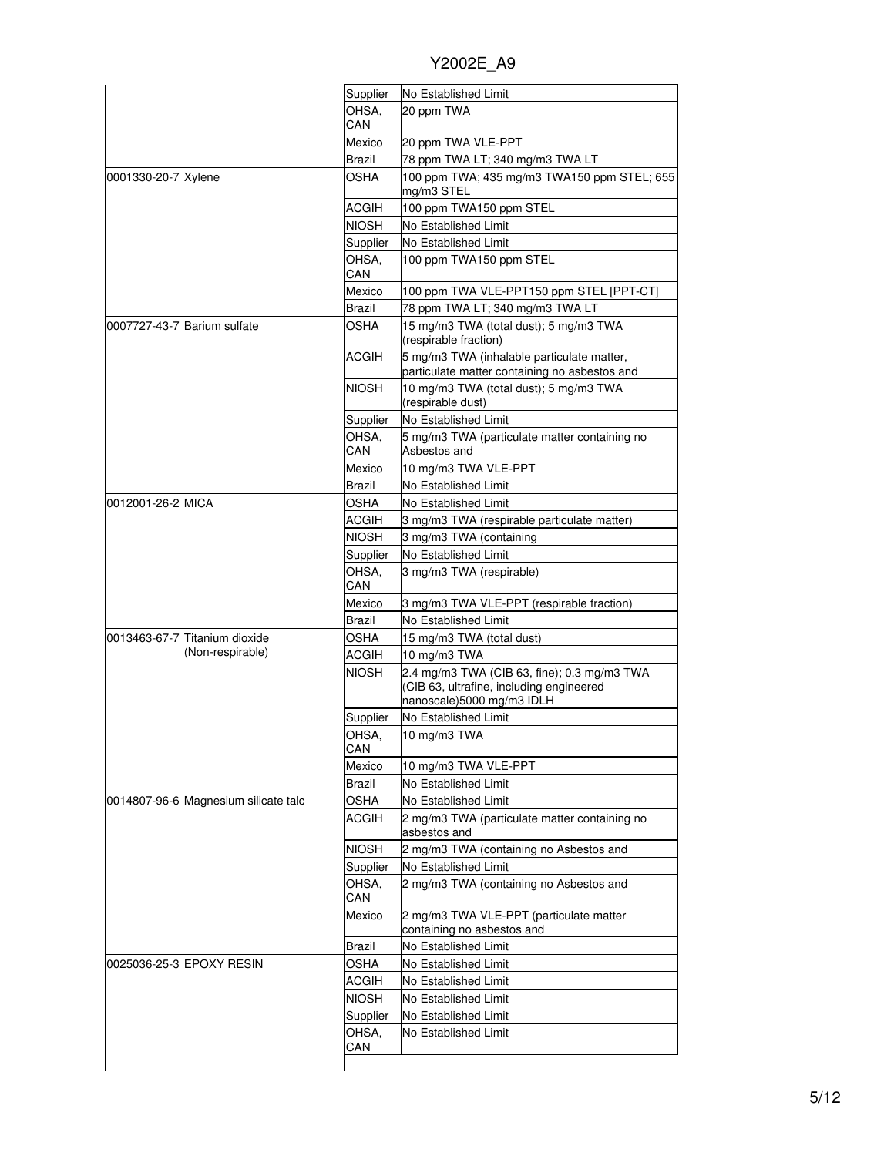|  |  | Y2002E A9 |
|--|--|-----------|
|  |  |           |

|                     |                                                   | Supplier      | No Established Limit                                                                                                 |
|---------------------|---------------------------------------------------|---------------|----------------------------------------------------------------------------------------------------------------------|
|                     |                                                   | OHSA.         | 20 ppm TWA                                                                                                           |
|                     |                                                   | CAN           |                                                                                                                      |
|                     |                                                   | Mexico        | 20 ppm TWA VLE-PPT                                                                                                   |
|                     |                                                   | Brazil        | 78 ppm TWA LT; 340 mg/m3 TWA LT                                                                                      |
| 0001330-20-7 Xylene |                                                   | OSHA          | 100 ppm TWA; 435 mg/m3 TWA150 ppm STEL; 655<br>mg/m3 STEL                                                            |
|                     |                                                   | <b>ACGIH</b>  | 100 ppm TWA150 ppm STEL                                                                                              |
|                     |                                                   | <b>NIOSH</b>  | No Established Limit                                                                                                 |
|                     |                                                   | Supplier      | No Established Limit                                                                                                 |
|                     |                                                   | OHSA.<br>CAN  | 100 ppm TWA150 ppm STEL                                                                                              |
|                     |                                                   | Mexico        | 100 ppm TWA VLE-PPT150 ppm STEL [PPT-CT]                                                                             |
|                     |                                                   | Brazil        | 78 ppm TWA LT; 340 mg/m3 TWA LT                                                                                      |
|                     | 0007727-43-7 Barium sulfate                       | OSHA          | 15 mg/m3 TWA (total dust); 5 mg/m3 TWA<br>(respirable fraction)                                                      |
|                     |                                                   | ACGIH         | 5 mg/m3 TWA (inhalable particulate matter,<br>particulate matter containing no asbestos and                          |
|                     |                                                   | <b>NIOSH</b>  | 10 mg/m3 TWA (total dust); 5 mg/m3 TWA<br>(respirable dust)                                                          |
|                     |                                                   | Supplier      | No Established Limit                                                                                                 |
|                     |                                                   | OHSA,<br>CAN  | 5 mg/m3 TWA (particulate matter containing no<br>Asbestos and                                                        |
|                     |                                                   | Mexico        | 10 mg/m3 TWA VLE-PPT                                                                                                 |
|                     |                                                   | <b>Brazil</b> | No Established Limit                                                                                                 |
| 0012001-26-2 MICA   |                                                   | OSHA          | No Established Limit                                                                                                 |
|                     |                                                   | <b>ACGIH</b>  | 3 mg/m3 TWA (respirable particulate matter)                                                                          |
|                     |                                                   | <b>NIOSH</b>  | 3 mg/m3 TWA (containing                                                                                              |
|                     |                                                   | Supplier      | No Established Limit                                                                                                 |
|                     |                                                   | OHSA,<br>CAN  | 3 mg/m3 TWA (respirable)                                                                                             |
|                     |                                                   | Mexico        | 3 mg/m3 TWA VLE-PPT (respirable fraction)                                                                            |
|                     |                                                   | Brazil        | No Established Limit                                                                                                 |
|                     | 0013463-67-7 Titanium dioxide<br>(Non-respirable) | OSHA          | 15 mg/m3 TWA (total dust)                                                                                            |
|                     |                                                   | ACGIH         | 10 mg/m3 TWA                                                                                                         |
|                     |                                                   | NIOSH         | 2.4 mg/m3 TWA (CIB 63, fine); 0.3 mg/m3 TWA<br>(CIB 63, ultrafine, including engineered<br>nanoscale)5000 mg/m3 IDLH |
|                     |                                                   | Supplier      | No Established Limit                                                                                                 |
|                     |                                                   | OHSA,<br>CAN  | 10 mg/m3 TWA                                                                                                         |
|                     |                                                   | Mexico        | 10 mg/m3 TWA VLE-PPT                                                                                                 |
|                     |                                                   | Brazil        | No Established Limit                                                                                                 |
|                     | 0014807-96-6 Magnesium silicate talc              | <b>OSHA</b>   | No Established Limit                                                                                                 |
|                     |                                                   | <b>ACGIH</b>  | 2 mg/m3 TWA (particulate matter containing no<br>asbestos and                                                        |
|                     |                                                   | <b>NIOSH</b>  | 2 mg/m3 TWA (containing no Asbestos and                                                                              |
|                     |                                                   | Supplier      | No Established Limit                                                                                                 |
|                     |                                                   | OHSA.<br>CAN  | 2 mg/m3 TWA (containing no Asbestos and                                                                              |
|                     |                                                   | Mexico        | 2 mg/m3 TWA VLE-PPT (particulate matter<br>containing no asbestos and                                                |
|                     |                                                   | <b>Brazil</b> | No Established Limit                                                                                                 |
|                     | 0025036-25-3 EPOXY RESIN                          | <b>OSHA</b>   | No Established Limit                                                                                                 |
|                     |                                                   | ACGIH         | No Established Limit                                                                                                 |
|                     |                                                   | <b>NIOSH</b>  | No Established Limit                                                                                                 |
|                     |                                                   | Supplier      | No Established Limit                                                                                                 |
|                     |                                                   | OHSA,<br>CAN  | No Established Limit                                                                                                 |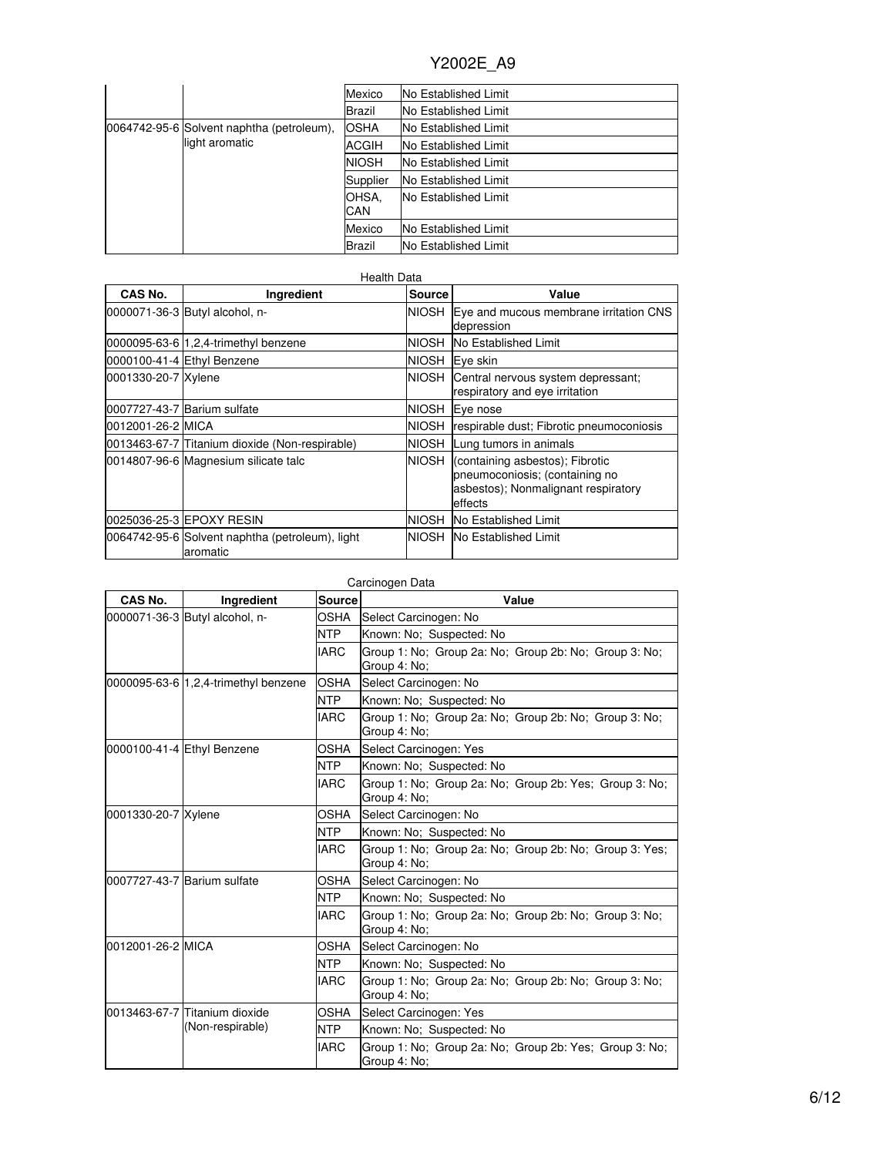|                                           | Mexico       | No Established Limit        |
|-------------------------------------------|--------------|-----------------------------|
|                                           | Brazil       | <b>No Established Limit</b> |
| 0064742-95-6 Solvent naphtha (petroleum), | <b>OSHA</b>  | No Established Limit        |
| light aromatic                            | ACGIH        | No Established Limit        |
|                                           | <b>NIOSH</b> | No Established Limit        |
|                                           | Supplier     | No Established Limit        |
|                                           | OHSA.<br>CAN | No Established Limit        |
|                                           | Mexico       | No Established Limit        |
|                                           | Brazil       | No Established Limit        |

| CAS No.             | Ingredient                                                  | <b>Source</b> | Value                                                                                                               |
|---------------------|-------------------------------------------------------------|---------------|---------------------------------------------------------------------------------------------------------------------|
|                     | 0000071-36-3 Butyl alcohol, n-                              |               | NIOSH Eye and mucous membrane irritation CNS<br>depression                                                          |
|                     | 0000095-63-6 1,2,4-trimethyl benzene                        | NIOSH         | <b>No Established Limit</b>                                                                                         |
|                     | 0000100-41-4 Ethyl Benzene                                  |               | NIOSH Eye skin                                                                                                      |
| 0001330-20-7 Xylene |                                                             | <b>NIOSH</b>  | Central nervous system depressant;<br>respiratory and eye irritation                                                |
|                     | 0007727-43-7 Barium sulfate                                 | <b>NIOSH</b>  | Eye nose                                                                                                            |
| 0012001-26-2 MICA   |                                                             | INIOSH.       | respirable dust; Fibrotic pneumoconiosis                                                                            |
|                     | 0013463-67-7 Titanium dioxide (Non-respirable)              | <b>NIOSH</b>  | Lung tumors in animals                                                                                              |
|                     | 0014807-96-6 Magnesium silicate talc                        | <b>NIOSH</b>  | (containing asbestos); Fibrotic<br>pneumoconiosis; (containing no<br>asbestos); Nonmalignant respiratory<br>effects |
|                     | 0025036-25-3 EPOXY RESIN                                    | <b>NIOSH</b>  | No Established Limit                                                                                                |
|                     | 0064742-95-6 Solvent naphtha (petroleum), light<br>aromatic | NIOSH         | <b>No Established Limit</b>                                                                                         |

| Carcinogen Data     |                                      |               |                                                                        |  |  |
|---------------------|--------------------------------------|---------------|------------------------------------------------------------------------|--|--|
| CAS No.             | Ingredient                           | <b>Source</b> | Value                                                                  |  |  |
|                     | 0000071-36-3 Butyl alcohol, n-       | OSHA          | Select Carcinogen: No                                                  |  |  |
|                     |                                      | <b>NTP</b>    | Known: No; Suspected: No                                               |  |  |
|                     |                                      | <b>IARC</b>   | Group 1: No: Group 2a: No: Group 2b: No: Group 3: No:<br>Group 4: No;  |  |  |
|                     | 0000095-63-6 1,2,4-trimethyl benzene | <b>OSHA</b>   | Select Carcinogen: No                                                  |  |  |
|                     |                                      | <b>NTP</b>    | Known: No: Suspected: No                                               |  |  |
|                     |                                      | <b>IARC</b>   | Group 1: No; Group 2a: No; Group 2b: No; Group 3: No;<br>Group 4: No;  |  |  |
|                     | 0000100-41-4 Ethyl Benzene           | OSHA          | Select Carcinogen: Yes                                                 |  |  |
|                     |                                      | <b>NTP</b>    | Known: No; Suspected: No                                               |  |  |
|                     |                                      | <b>IARC</b>   | Group 1: No; Group 2a: No; Group 2b: Yes; Group 3: No;<br>Group 4: No; |  |  |
| 0001330-20-7 Xylene |                                      | OSHA          | Select Carcinogen: No                                                  |  |  |
|                     |                                      | <b>NTP</b>    | Known: No: Suspected: No                                               |  |  |
|                     |                                      | <b>IARC</b>   | Group 1: No; Group 2a: No; Group 2b: No; Group 3: Yes;<br>Group 4: No; |  |  |
|                     | 0007727-43-7 Barium sulfate          | OSHA          | Select Carcinogen: No                                                  |  |  |
|                     |                                      | <b>NTP</b>    | Known: No: Suspected: No                                               |  |  |
|                     |                                      | <b>IARC</b>   | Group 1: No; Group 2a: No; Group 2b: No; Group 3: No;<br>Group 4: No;  |  |  |
| 0012001-26-2 MICA   |                                      | OSHA          | Select Carcinogen: No                                                  |  |  |
|                     |                                      | <b>NTP</b>    | Known: No: Suspected: No                                               |  |  |
|                     |                                      | <b>IARC</b>   | Group 1: No; Group 2a: No; Group 2b: No; Group 3: No;<br>Group 4: No;  |  |  |
|                     | 0013463-67-7 Titanium dioxide        | OSHA          | Select Carcinogen: Yes                                                 |  |  |
|                     | (Non-respirable)                     | <b>NTP</b>    | Known: No; Suspected: No                                               |  |  |
|                     |                                      | <b>IARC</b>   | Group 1: No; Group 2a: No; Group 2b: Yes; Group 3: No;<br>Group 4: No; |  |  |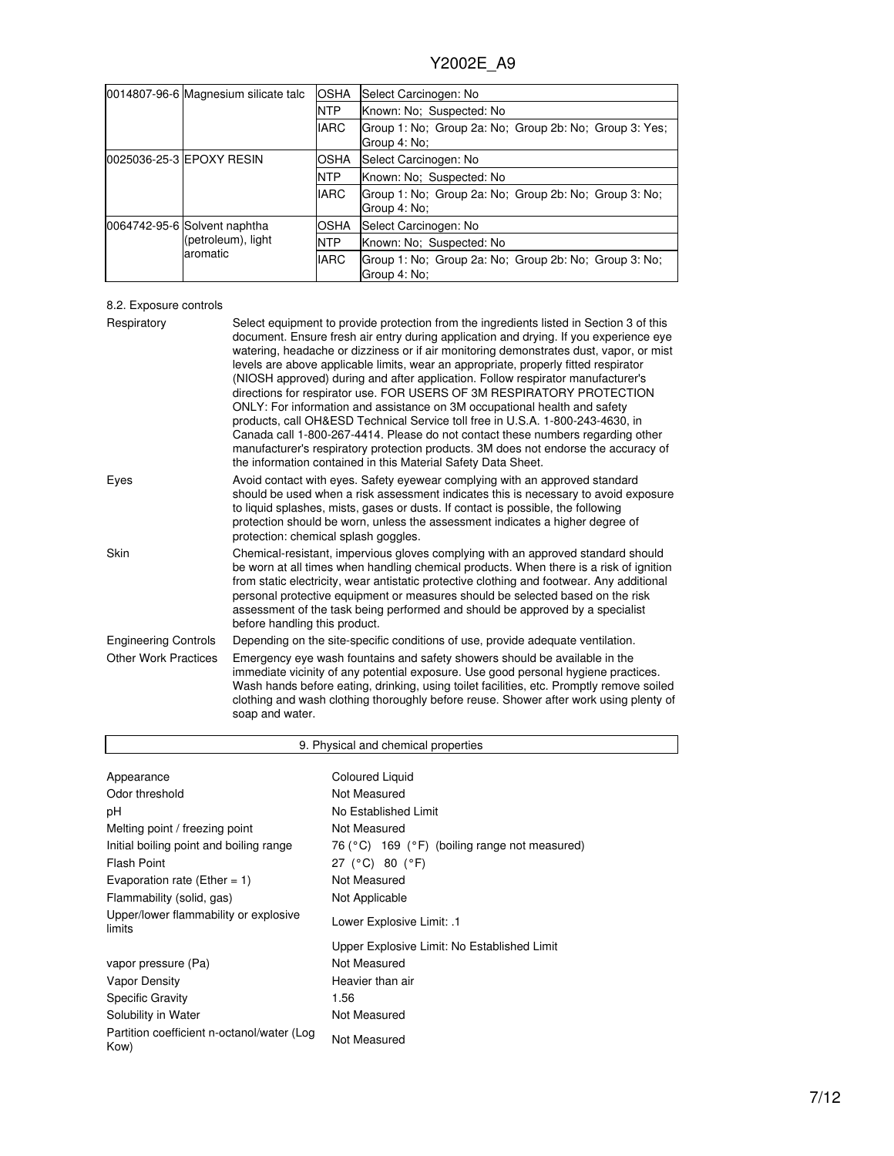|  | 0014807-96-6 Magnesium silicate talc                           | <b>OSHA</b> | Select Carcinogen: No                                                  |  |
|--|----------------------------------------------------------------|-------------|------------------------------------------------------------------------|--|
|  |                                                                | <b>NTP</b>  | Known: No: Suspected: No                                               |  |
|  |                                                                | <b>IARC</b> | Group 1: No; Group 2a: No; Group 2b: No; Group 3: Yes;<br>Group 4: No: |  |
|  | 0025036-25-3 IEPOXY RESIN                                      | OSHA        | Select Carcinogen: No                                                  |  |
|  |                                                                | <b>NTP</b>  | Known: No; Suspected: No                                               |  |
|  |                                                                | <b>IARC</b> | Group 1: No; Group 2a: No; Group 2b: No; Group 3: No;<br>Group 4: No:  |  |
|  | 0064742-95-6 Solvent naphtha<br>(petroleum), light<br>aromatic | OSHA        | Select Carcinogen: No                                                  |  |
|  |                                                                | <b>NTP</b>  | Known: No: Suspected: No                                               |  |
|  |                                                                | <b>IARC</b> | Group 1: No: Group 2a: No: Group 2b: No: Group 3: No:<br>Group 4: No:  |  |

## 8.2. Exposure controls

| Respiratory                 | Select equipment to provide protection from the ingredients listed in Section 3 of this<br>document. Ensure fresh air entry during application and drying. If you experience eye<br>watering, headache or dizziness or if air monitoring demonstrates dust, vapor, or mist<br>levels are above applicable limits, wear an appropriate, properly fitted respirator<br>(NIOSH approved) during and after application. Follow respirator manufacturer's<br>directions for respirator use. FOR USERS OF 3M RESPIRATORY PROTECTION<br>ONLY: For information and assistance on 3M occupational health and safety<br>products, call OH&ESD Technical Service toll free in U.S.A. 1-800-243-4630, in<br>Canada call 1-800-267-4414. Please do not contact these numbers regarding other<br>manufacturer's respiratory protection products. 3M does not endorse the accuracy of<br>the information contained in this Material Safety Data Sheet. |
|-----------------------------|-----------------------------------------------------------------------------------------------------------------------------------------------------------------------------------------------------------------------------------------------------------------------------------------------------------------------------------------------------------------------------------------------------------------------------------------------------------------------------------------------------------------------------------------------------------------------------------------------------------------------------------------------------------------------------------------------------------------------------------------------------------------------------------------------------------------------------------------------------------------------------------------------------------------------------------------|
| Eyes                        | Avoid contact with eyes. Safety eyewear complying with an approved standard<br>should be used when a risk assessment indicates this is necessary to avoid exposure<br>to liquid splashes, mists, gases or dusts. If contact is possible, the following<br>protection should be worn, unless the assessment indicates a higher degree of<br>protection: chemical splash goggles.                                                                                                                                                                                                                                                                                                                                                                                                                                                                                                                                                         |
| Skin                        | Chemical-resistant, impervious gloves complying with an approved standard should<br>be worn at all times when handling chemical products. When there is a risk of ignition<br>from static electricity, wear antistatic protective clothing and footwear. Any additional<br>personal protective equipment or measures should be selected based on the risk<br>assessment of the task being performed and should be approved by a specialist<br>before handling this product.                                                                                                                                                                                                                                                                                                                                                                                                                                                             |
| <b>Engineering Controls</b> | Depending on the site-specific conditions of use, provide adequate ventilation.                                                                                                                                                                                                                                                                                                                                                                                                                                                                                                                                                                                                                                                                                                                                                                                                                                                         |
| <b>Other Work Practices</b> | Emergency eye wash fountains and safety showers should be available in the<br>immediate vicinity of any potential exposure. Use good personal hygiene practices.<br>Wash hands before eating, drinking, using toilet facilities, etc. Promptly remove soiled<br>clothing and wash clothing thoroughly before reuse. Shower after work using plenty of<br>soap and water.                                                                                                                                                                                                                                                                                                                                                                                                                                                                                                                                                                |

| 9. Physical and chemical properties                |                                                                     |  |  |
|----------------------------------------------------|---------------------------------------------------------------------|--|--|
| Appearance                                         | <b>Coloured Liquid</b>                                              |  |  |
| Odor threshold                                     | Not Measured                                                        |  |  |
| рH                                                 | No Established Limit                                                |  |  |
| Melting point / freezing point                     | Not Measured                                                        |  |  |
| Initial boiling point and boiling range            | 76 ( $^{\circ}$ C) 169 ( $^{\circ}$ F) (boiling range not measured) |  |  |
| Flash Point                                        | 27 (°C) 80 (°F)                                                     |  |  |
| Evaporation rate (Ether = 1)                       | Not Measured                                                        |  |  |
| Flammability (solid, gas)                          | Not Applicable                                                      |  |  |
| Upper/lower flammability or explosive<br>limits    | 1. :Lower Explosive Limit                                           |  |  |
|                                                    | Upper Explosive Limit: No Established Limit                         |  |  |
| vapor pressure (Pa)                                | Not Measured                                                        |  |  |
| Vapor Density                                      | Heavier than air                                                    |  |  |
| <b>Specific Gravity</b>                            | 1.56                                                                |  |  |
| Solubility in Water                                | Not Measured                                                        |  |  |
| Partition coefficient n-octanol/water (Log<br>Kow) | Not Measured                                                        |  |  |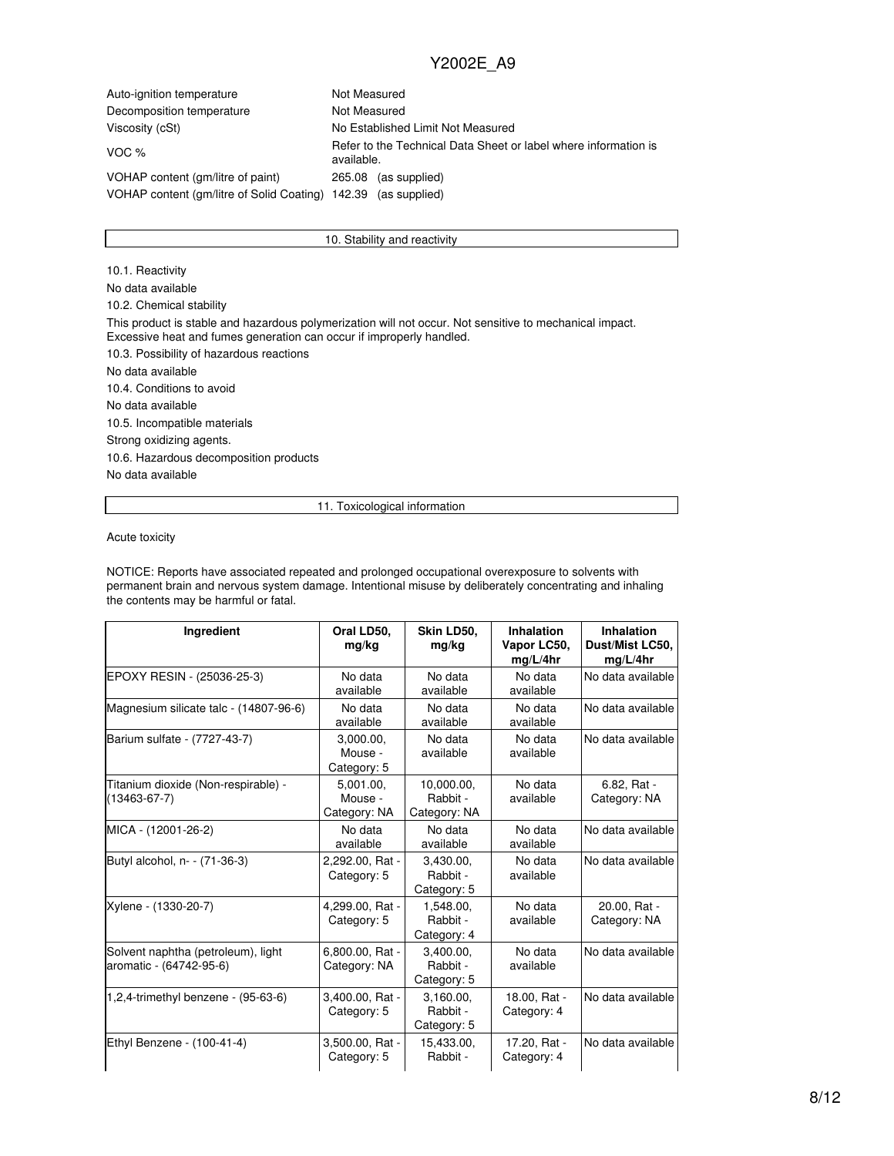| Auto-ignition temperature                        | Not Measured                                                                  |  |  |  |
|--------------------------------------------------|-------------------------------------------------------------------------------|--|--|--|
| Decomposition temperature                        | Not Measured                                                                  |  |  |  |
| Viscosity (cSt)                                  | No Established Limit Not Measured                                             |  |  |  |
| VOC $%$                                          | Refer to the Technical Data Sheet or label where information is<br>available. |  |  |  |
| VOHAP content (gm/litre of paint)                | (as supplied)<br>265.08                                                       |  |  |  |
| VOHAP content (gm/litre of Solid Coating) 142.39 | (as supplied)                                                                 |  |  |  |

#### 10. Stability and reactivity

10.1. Reactivity No data available 10.2. Chemical stability This product is stable and hazardous polymerization will not occur. Not sensitive to mechanical impact. Excessive heat and fumes generation can occur if improperly handled. 10.3. Possibility of hazardous reactions No data available 10.4. Conditions to avoid No data available 10.5. Incompatible materials Strong oxidizing agents. 10.6. Hazardous decomposition products No data available

#### 11. Toxicological information

Acute toxicity

NOTICE: Reports have associated repeated and prolonged occupational overexposure to solvents with permanent brain and nervous system damage. Intentional misuse by deliberately concentrating and inhaling the contents may be harmful or fatal.

| Ingredient                                                    | Oral LD50.<br>mg/kg                  | Skin LD50,<br>mg/kg                    | Inhalation<br>Vapor LC50,<br>mg/L/4hr | Inhalation<br>Dust/Mist LC50,<br>mg/L/4hr |
|---------------------------------------------------------------|--------------------------------------|----------------------------------------|---------------------------------------|-------------------------------------------|
| EPOXY RESIN - (25036-25-3)                                    | No data<br>available                 | No data<br>available                   | No data<br>available                  | No data available                         |
| Magnesium silicate talc - (14807-96-6)                        | No data<br>available                 | No data<br>available                   | No data<br>available                  | No data available                         |
| Barium sulfate - (7727-43-7)                                  | 3,000.00,<br>Mouse -<br>Category: 5  | No data<br>available                   | No data<br>available                  | No data available                         |
| Titanium dioxide (Non-respirable) -<br>$(13463 - 67 - 7)$     | 5.001.00.<br>Mouse -<br>Category: NA | 10,000.00,<br>Rabbit -<br>Category: NA | No data<br>available                  | 6.82, Rat -<br>Category: NA               |
| MICA - (12001-26-2)                                           | No data<br>available                 | No data<br>available                   | No data<br>available                  | No data available                         |
| Butyl alcohol, n- - (71-36-3)                                 | 2,292.00, Rat -<br>Category: 5       | 3.430.00.<br>Rabbit -<br>Category: 5   | No data<br>available                  | No data available                         |
| Xylene - (1330-20-7)                                          | 4,299.00, Rat -<br>Category: 5       | 1.548.00.<br>Rabbit -<br>Category: 4   | No data<br>available                  | 20.00, Rat -<br>Category: NA              |
| Solvent naphtha (petroleum), light<br>aromatic - (64742-95-6) | 6,800.00, Rat -<br>Category: NA      | 3.400.00.<br>Rabbit -<br>Category: 5   | No data<br>available                  | No data available                         |
| 1,2,4-trimethyl benzene - (95-63-6)                           | 3,400.00, Rat -<br>Category: 5       | 3.160.00.<br>Rabbit -<br>Category: 5   | 18.00, Rat -<br>Category: 4           | No data available                         |
| Ethyl Benzene - (100-41-4)                                    | 3,500.00, Rat -<br>Category: 5       | 15,433.00,<br>Rabbit -                 | 17.20, Rat -<br>Category: 4           | No data available                         |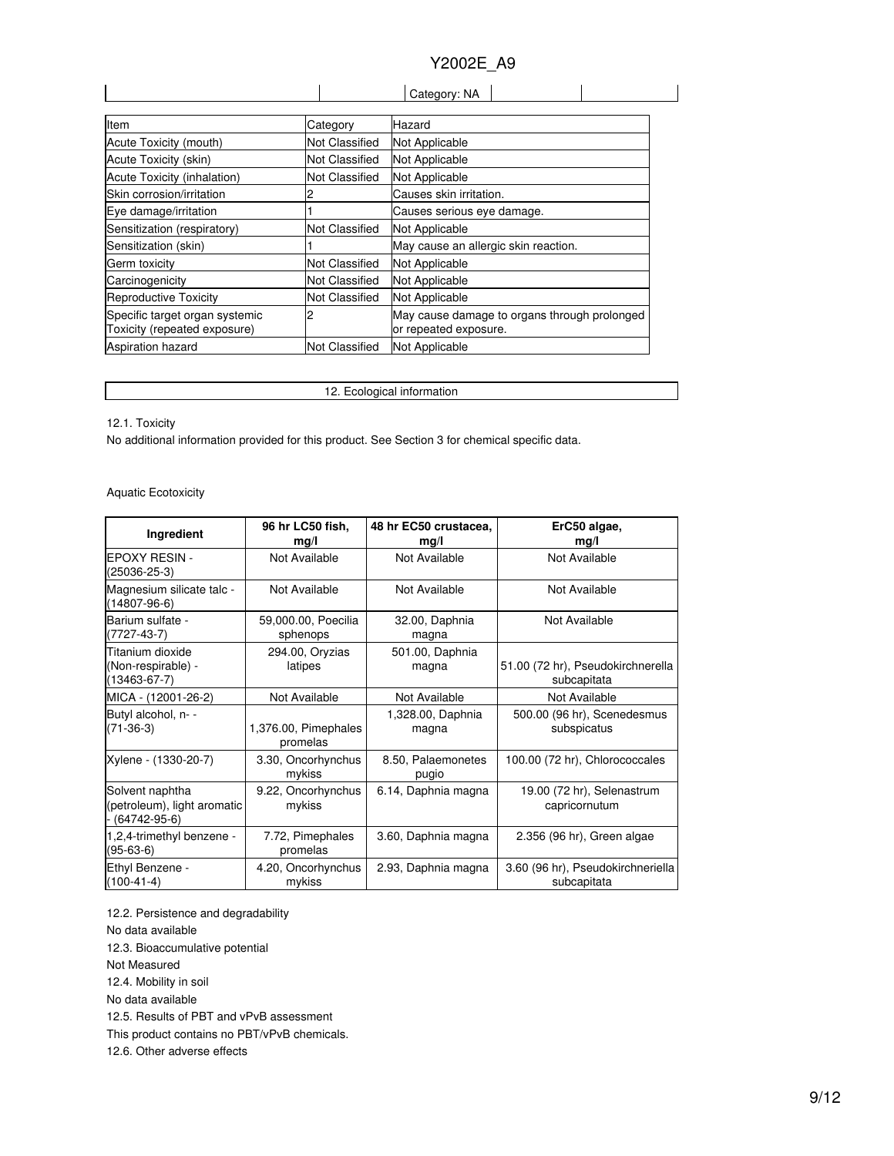| Category: NA |  |
|--------------|--|

| Item                                                           | Category              | Hazard                                                                |
|----------------------------------------------------------------|-----------------------|-----------------------------------------------------------------------|
| Acute Toxicity (mouth)                                         | <b>Not Classified</b> | Not Applicable                                                        |
| Acute Toxicity (skin)                                          | <b>Not Classified</b> | Not Applicable                                                        |
| Acute Toxicity (inhalation)                                    | Not Classified        | Not Applicable                                                        |
| Skin corrosion/irritation                                      |                       | Causes skin irritation.                                               |
| Eye damage/irritation                                          |                       | Causes serious eye damage.                                            |
| Sensitization (respiratory)                                    | <b>Not Classified</b> | Not Applicable                                                        |
| Sensitization (skin)                                           |                       | May cause an allergic skin reaction.                                  |
| Germ toxicity                                                  | <b>Not Classified</b> | Not Applicable                                                        |
| Carcinogenicity                                                | <b>Not Classified</b> | Not Applicable                                                        |
| Reproductive Toxicity                                          | <b>Not Classified</b> | Not Applicable                                                        |
| Specific target organ systemic<br>Toxicity (repeated exposure) |                       | May cause damage to organs through prolonged<br>or repeated exposure. |
| <b>Aspiration hazard</b>                                       | <b>Not Classified</b> | Not Applicable                                                        |

12. Ecological information

12.1. Toxicity

No additional information provided for this product. See Section 3 for chemical specific data.

Aquatic Ecotoxicity

| Ingredient                                                       | 96 hr LC50 fish,<br>mg/l         | 48 hr EC50 crustacea,<br>mg/l | ErC50 algae,<br>mg/l                             |
|------------------------------------------------------------------|----------------------------------|-------------------------------|--------------------------------------------------|
| <b>EPOXY RESIN -</b><br>(25036-25-3)                             | Not Available                    | Not Available                 | Not Available                                    |
| Magnesium silicate talc -<br>$(14807 - 96 - 6)$                  | Not Available                    | Not Available                 | Not Available                                    |
| Barium sulfate -<br>$(7727-43-7)$                                | 59,000.00, Poecilia<br>sphenops  | 32.00, Daphnia<br>magna       | Not Available                                    |
| Titanium dioxide<br>(Non-respirable) -<br>$(13463 - 67 - 7)$     | 294.00, Oryzias<br>latipes       | 501.00, Daphnia<br>magna      | 51.00 (72 hr), Pseudokirchnerella<br>subcapitata |
| MICA - (12001-26-2)                                              | Not Available                    | Not Available                 | Not Available                                    |
| Butyl alcohol, n- -<br>$(71-36-3)$                               | 1,376.00, Pimephales<br>promelas | 1,328.00, Daphnia<br>magna    | 500.00 (96 hr), Scenedesmus<br>subspicatus       |
| Xylene - (1330-20-7)                                             | 3.30, Oncorhynchus<br>mykiss     | 8.50, Palaemonetes<br>pugio   | 100.00 (72 hr), Chlorococcales                   |
| Solvent naphtha<br>(petroleum), light aromatic<br>$(64742-95-6)$ | 9.22, Oncorhynchus<br>mykiss     | 6.14, Daphnia magna           | 19.00 (72 hr), Selenastrum<br>capricornutum      |
| 1,2,4-trimethyl benzene -<br>$(95-63-6)$                         | 7.72, Pimephales<br>promelas     | 3.60, Daphnia magna           | $2.356$ (96 hr), Green algae                     |
| Ethyl Benzene -<br>$(100-41-4)$                                  | 4.20, Oncorhynchus<br>mykiss     | 2.93, Daphnia magna           | 3.60 (96 hr), Pseudokirchneriella<br>subcapitata |

12.2. Persistence and degradability

No data available

12.3. Bioaccumulative potential

Not Measured

12.4. Mobility in soil

No data available

12.5. Results of PBT and vPvB assessment

This product contains no PBT/vPvB chemicals.

12.6. Other adverse effects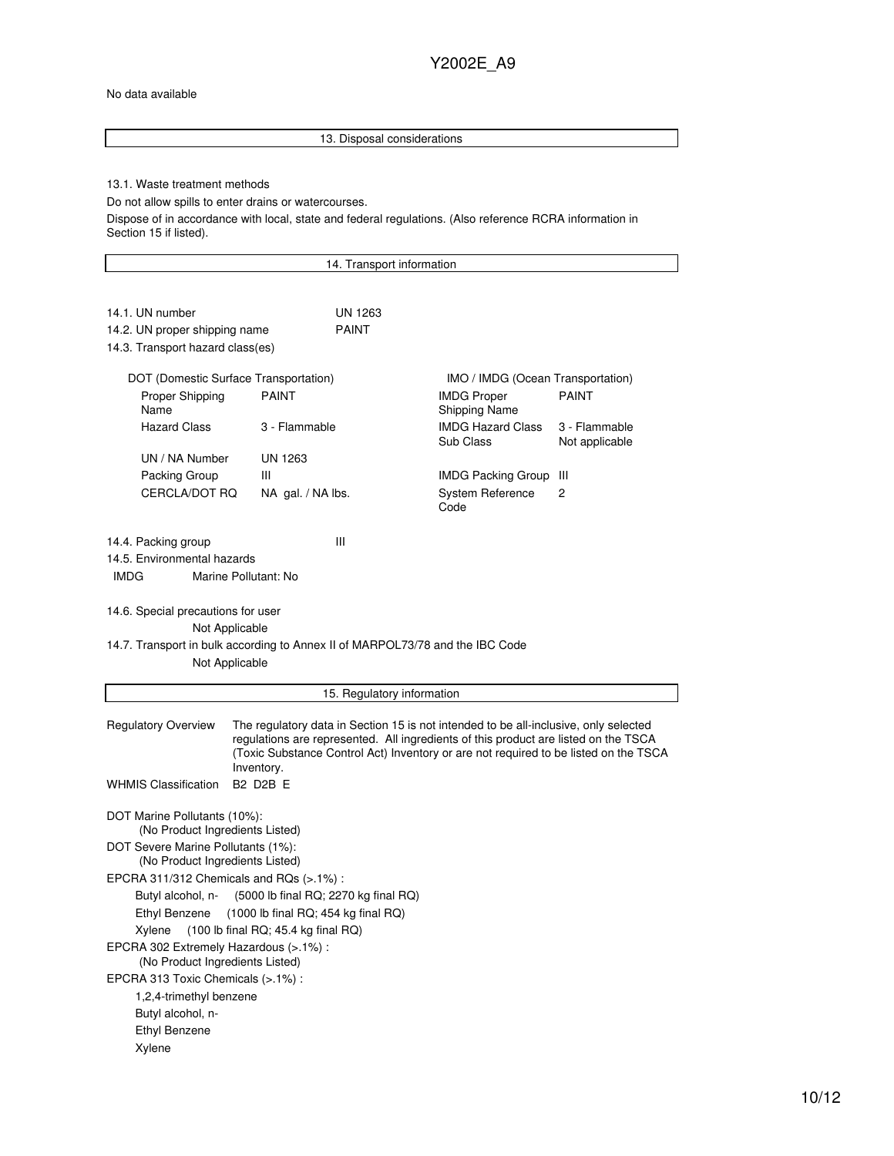#### No data available

Ethyl Benzene Xylene

## 13. Disposal considerations 13.1. Waste treatment methods Do not allow spills to enter drains or watercourses. Dispose of in accordance with local, state and federal regulations. (Also reference RCRA information in Section 15 if listed). 14. Transport information 14.1. UN number UN 1263 14.2. UN proper shipping name PAINT 14.3. Transport hazard class(es) DOT (Domestic Surface Transportation) IMO / IMDG (Ocean Transportation) Proper Shipping Name PAINT **IMDG** Proper Shipping Name PAINT Hazard Class 3 - Flammable IMDG Hazard Class Sub Class 3 - Flammable Not applicable UN / NA Number UN 1263 Packing Group III **IMDG Packing Group** III CERCLA/DOT RQ NA gal. / NA lbs. System Reference Code 2 14.4. Packing group III 14.5. Environmental hazards IMDG Marine Pollutant: No 14.6. Special precautions for user Not Applicable 14.7. Transport in bulk according to Annex II of MARPOL73/78 and the IBC Code Not Applicable 15. Regulatory information Regulatory Overview The regulatory data in Section 15 is not intended to be all-inclusive, only selected regulations are represented. All ingredients of this product are listed on the TSCA (Toxic Substance Control Act) Inventory or are not required to be listed on the TSCA Inventory. WHMIS Classification B2 D2B E DOT Marine Pollutants (10%): (No Product Ingredients Listed) DOT Severe Marine Pollutants (1%): (No Product Ingredients Listed) EPCRA 311/312 Chemicals and RQs (>.1%) : Butyl alcohol, n- (5000 lb final RQ; 2270 kg final RQ) Ethyl Benzene (1000 lb final RQ; 454 kg final RQ) Xylene (100 lb final RQ; 45.4 kg final RQ) EPCRA 302 Extremely Hazardous (>.1%) : (No Product Ingredients Listed) EPCRA 313 Toxic Chemicals (>.1%) : 1,2,4-trimethyl benzene Butyl alcohol, n-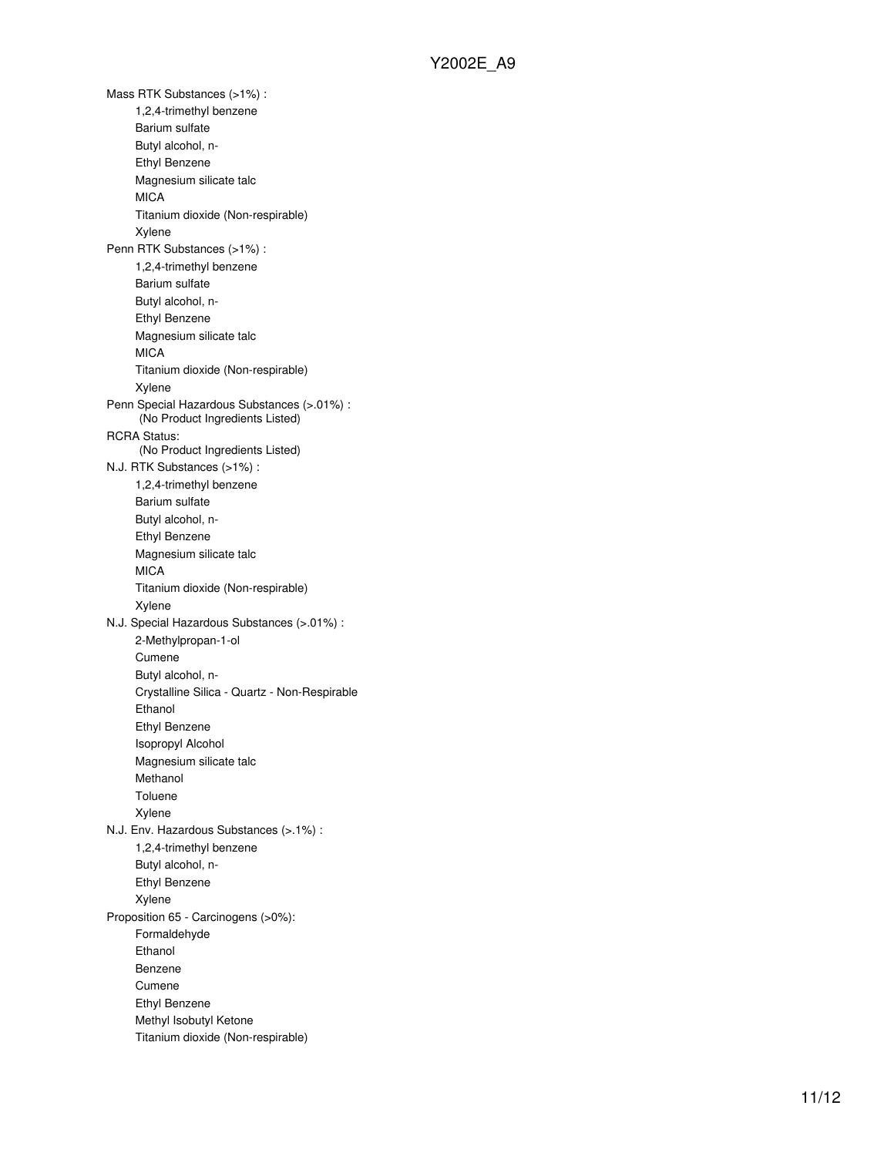Mass RTK Substances (>1%) : 1,2,4-trimethyl benzene Barium sulfate Butyl alcohol, n-Ethyl Benzene Magnesium silicate talc **MICA** Titanium dioxide (Non-respirable) Xylene Penn RTK Substances (>1%) : 1,2,4-trimethyl benzene Barium sulfate Butyl alcohol, n-Ethyl Benzene Magnesium silicate talc MICA Titanium dioxide (Non-respirable) Xylene Penn Special Hazardous Substances (>.01%) : (No Product Ingredients Listed) RCRA Status: (No Product Ingredients Listed) N.J. RTK Substances (>1%) : 1,2,4-trimethyl benzene Barium sulfate Butyl alcohol, n-Ethyl Benzene Magnesium silicate talc MICA Titanium dioxide (Non-respirable) Xylene N.J. Special Hazardous Substances (>.01%) : 2-Methylpropan-1-ol Cumene Butyl alcohol, n-Crystalline Silica - Quartz - Non-Respirable Ethanol Ethyl Benzene Isopropyl Alcohol Magnesium silicate talc Methanol Toluene Xylene N.J. Env. Hazardous Substances (>.1%) : 1,2,4-trimethyl benzene Butyl alcohol, n-Ethyl Benzene Xylene Proposition 65 - Carcinogens (>0%): Formaldehyde Ethanol Benzene Cumene Ethyl Benzene Methyl Isobutyl Ketone Titanium dioxide (Non-respirable)